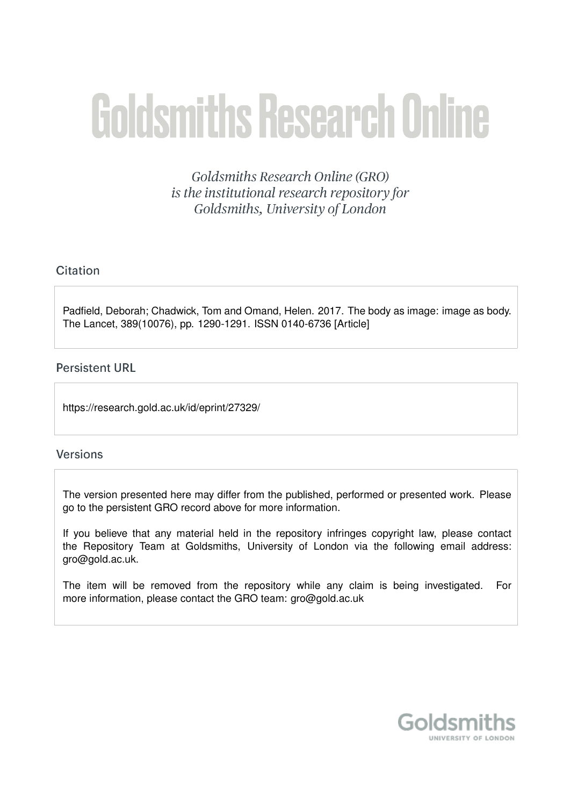# **Goldsmiths Research Online**

**Goldsmiths Research Online (GRO)** is the institutional research repository for Goldsmiths, University of London

# Citation

Padfield, Deborah; Chadwick, Tom and Omand, Helen. 2017. The body as image: image as body. The Lancet, 389(10076), pp. 1290-1291. ISSN 0140-6736 [Article]

## **Persistent URL**

https://research.gold.ac.uk/id/eprint/27329/

### **Versions**

The version presented here may differ from the published, performed or presented work. Please go to the persistent GRO record above for more information.

If you believe that any material held in the repository infringes copyright law, please contact the Repository Team at Goldsmiths, University of London via the following email address: gro@gold.ac.uk.

The item will be removed from the repository while any claim is being investigated. For more information, please contact the GRO team: gro@gold.ac.uk

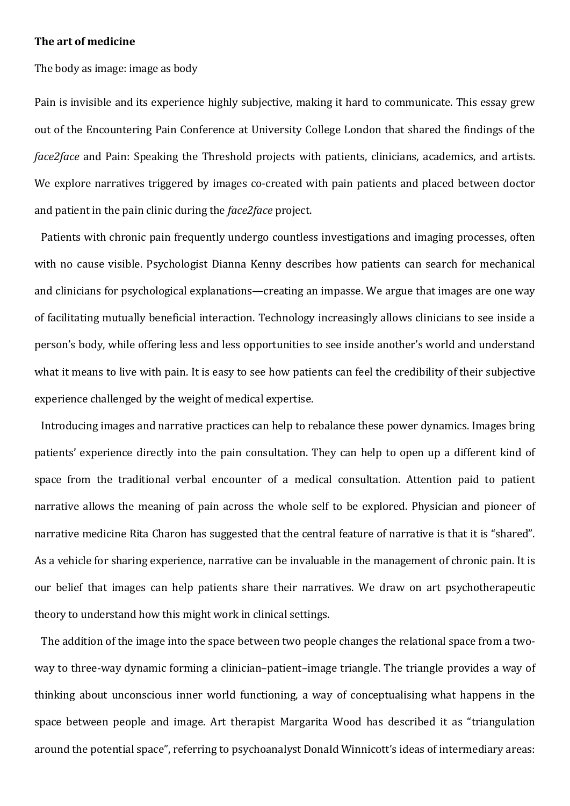### **The art of medicine**

The body as image: image as body

Pain is invisible and its experience highly subjective, making it hard to communicate. This essay grew out of the Encountering Pain Conference at University College London that shared the findings of the *face2face* and Pain: Speaking the Threshold projects with patients, clinicians, academics, and artists. We explore narratives triggered by images co-created with pain patients and placed between doctor and patient in the pain clinic during the *face2face* project.

Patients with chronic pain frequently undergo countless investigations and imaging processes, often with no cause visible. Psychologist Dianna Kenny describes how patients can search for mechanical and clinicians for psychological explanations—creating an impasse. We argue that images are one way of facilitating mutually beneficial interaction. Technology increasingly allows clinicians to see inside a person's body, while offering less and less opportunities to see inside another's world and understand what it means to live with pain. It is easy to see how patients can feel the credibility of their subjective experience challenged by the weight of medical expertise.

Introducing images and narrative practices can help to rebalance these power dynamics. Images bring patients' experience directly into the pain consultation. They can help to open up a different kind of space from the traditional verbal encounter of a medical consultation. Attention paid to patient narrative allows the meaning of pain across the whole self to be explored. Physician and pioneer of narrative medicine Rita Charon has suggested that the central feature of narrative is that it is "shared". As a vehicle for sharing experience, narrative can be invaluable in the management of chronic pain. It is our belief that images can help patients share their narratives. We draw on art psychotherapeutic theory to understand how this might work in clinical settings.

The addition of the image into the space between two people changes the relational space from a twoway to three-way dynamic forming a clinician–patient–image triangle. The triangle provides a way of thinking about unconscious inner world functioning, a way of conceptualising what happens in the space between people and image. Art therapist Margarita Wood has described it as "triangulation around the potential space", referring to psychoanalyst Donald Winnicott's ideas of intermediary areas: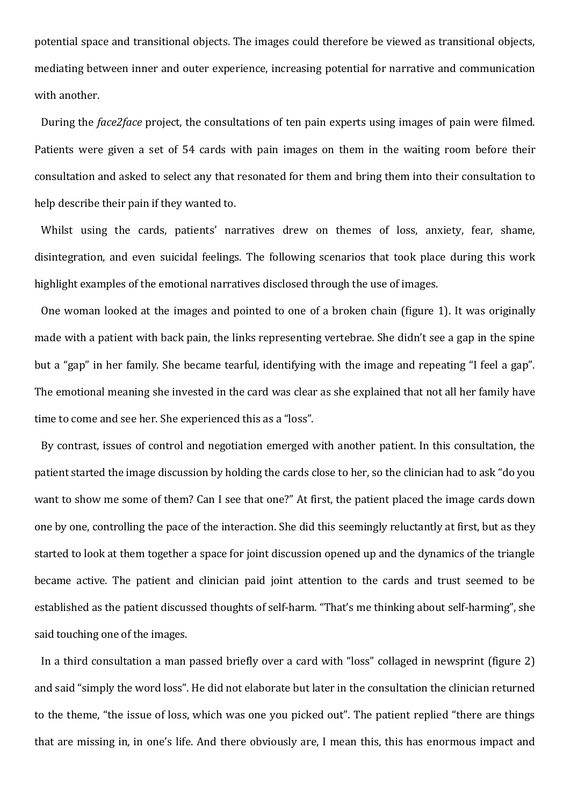potential space and transitional objects. The images could therefore be viewed as transitional objects, mediating between inner and outer experience, increasing potential for narrative and communication with another.

During the *face2face* project, the consultations of ten pain experts using images of pain were filmed. Patients were given a set of 54 cards with pain images on them in the waiting room before their consultation and asked to select any that resonated for them and bring them into their consultation to help describe their pain if they wanted to.

Whilst using the cards, patients' narratives drew on themes of loss, anxiety, fear, shame, disintegration, and even suicidal feelings. The following scenarios that took place during this work highlight examples of the emotional narratives disclosed through the use of images.

One woman looked at the images and pointed to one of a broken chain (figure 1). It was originally made with a patient with back pain, the links representing vertebrae. She didn't see a gap in the spine but a "gap" in her family. She became tearful, identifying with the image and repeating "I feel a gap". The emotional meaning she invested in the card was clear as she explained that not all her family have time to come and see her. She experienced this as a "loss".

By contrast, issues of control and negotiation emerged with another patient. In this consultation, the patient started the image discussion by holding the cards close to her, so the clinician had to ask "do you want to show me some of them? Can I see that one?" At first, the patient placed the image cards down one by one, controlling the pace of the interaction. She did this seemingly reluctantly at first, but as they started to look at them together a space for joint discussion opened up and the dynamics of the triangle became active. The patient and clinician paid joint attention to the cards and trust seemed to be established as the patient discussed thoughts of self-harm. "That's me thinking about self-harming", she said touching one of the images.

In a third consultation a man passed briefly over a card with "loss" collaged in newsprint (figure 2) and said "simply the word loss". He did not elaborate but later in the consultation the clinician returned to the theme, "the issue of loss, which was one you picked out". The patient replied "there are things that are missing in, in one's life. And there obviously are, I mean this, this has enormous impact and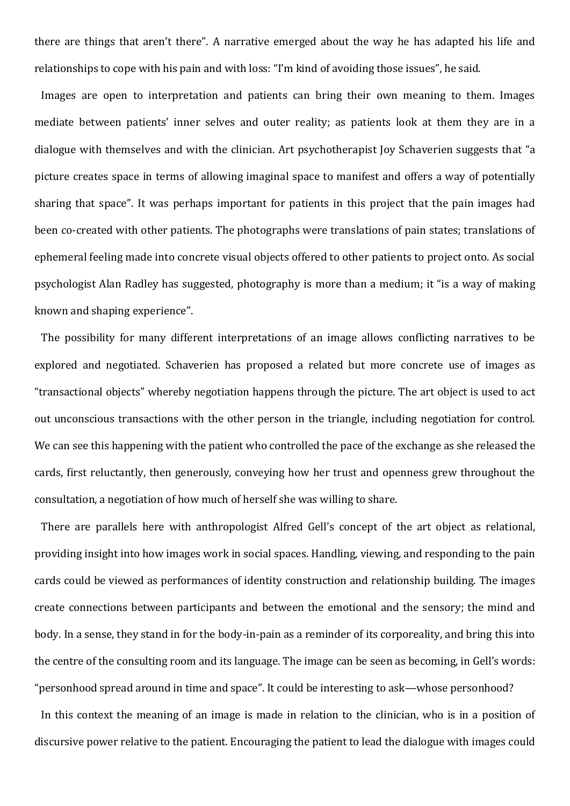there are things that aren't there". A narrative emerged about the way he has adapted his life and relationships to cope with his pain and with loss: "I'm kind of avoiding those issues", he said.

Images are open to interpretation and patients can bring their own meaning to them. Images mediate between patients' inner selves and outer reality; as patients look at them they are in a dialogue with themselves and with the clinician. Art psychotherapist Joy Schaverien suggests that "a picture creates space in terms of allowing imaginal space to manifest and offers a way of potentially sharing that space". It was perhaps important for patients in this project that the pain images had been co-created with other patients. The photographs were translations of pain states; translations of ephemeral feeling made into concrete visual objects offered to other patients to project onto. As social psychologist Alan Radley has suggested, photography is more than a medium; it "is a way of making known and shaping experience".

The possibility for many different interpretations of an image allows conflicting narratives to be explored and negotiated. Schaverien has proposed a related but more concrete use of images as "transactional objects" whereby negotiation happens through the picture. The art object is used to act out unconscious transactions with the other person in the triangle, including negotiation for control. We can see this happening with the patient who controlled the pace of the exchange as she released the cards, first reluctantly, then generously, conveying how her trust and openness grew throughout the consultation, a negotiation of how much of herself she was willing to share.

There are parallels here with anthropologist Alfred Gell's concept of the art object as relational, providing insight into how images work in social spaces. Handling, viewing, and responding to the pain cards could be viewed as performances of identity construction and relationship building. The images create connections between participants and between the emotional and the sensory; the mind and body. In a sense, they stand in for the body-in-pain as a reminder of its corporeality, and bring this into the centre of the consulting room and its language. The image can be seen as becoming, in Gell's words: "personhood spread around in time and space". It could be interesting to ask—whose personhood? In this context the meaning of an image is made in relation to the clinician, who is in a position of

discursive power relative to the patient. Encouraging the patient to lead the dialogue with images could